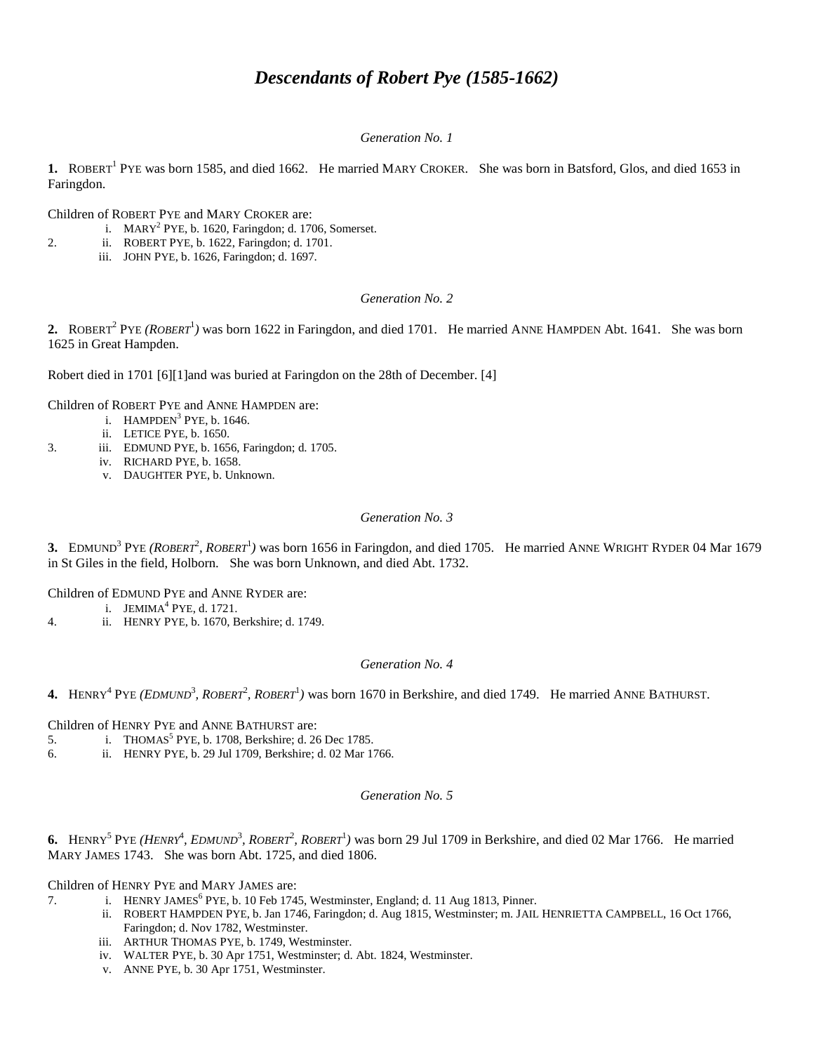# *Descendants of Robert Pye (1585-1662)*

## *Generation No. 1*

1. ROBERT<sup>1</sup> PYE was born 1585, and died 1662. He married MARY CROKER. She was born in Batsford, Glos, and died 1653 in Faringdon.

Children of ROBERT PYE and MARY CROKER are:

- i. MARY<sup>2</sup> PYE, b. 1620, Faringdon; d. 1706, Somerset.
- 2. ii. ROBERT PYE, b. 1622, Faringdon; d. 1701.
	- iii. JOHN PYE, b. 1626, Faringdon; d. 1697.

## *Generation No. 2*

2. ROBERT<sup>2</sup> PYE *(ROBERT*<sup>1</sup>) was born 1622 in Faringdon, and died 1701. He married ANNE HAMPDEN Abt. 1641. She was born 1625 in Great Hampden.

Robert died in 1701 [6][1]and was buried at Faringdon on the 28th of December. [4]

Children of ROBERT PYE and ANNE HAMPDEN are:

- i.  $HAMPDEN<sup>3</sup> PYE, b. 1646.$
- ii. LETICE PYE, b. 1650.
- 3. iii. EDMUND PYE, b. 1656, Faringdon; d. 1705.
	- iv. RICHARD PYE, b. 1658.
	- v. DAUGHTER PYE, b. Unknown.

## *Generation No. 3*

**3.** EDMUND<sup>3</sup> PYE *(ROBERT<sup>2</sup>, ROBERT*<sup>1</sup>) was born 1656 in Faringdon, and died 1705. He married ANNE WRIGHT RYDER 04 Mar 1679 in St Giles in the field, Holborn. She was born Unknown, and died Abt. 1732.

Children of EDMUND PYE and ANNE RYDER are:

- i.  $JEMIMA<sup>4</sup> PYE, d. 1721.$
- 4. ii. HENRY PYE, b. 1670, Berkshire; d. 1749.

## *Generation No. 4*

4. HENRY<sup>4</sup> PYE *(EDMUND<sup>3</sup>, ROBERT<sup>2</sup>, ROBERT<sup>1</sup>)* was born 1670 in Berkshire, and died 1749. He married ANNE BATHURST.

Children of HENRY PYE and ANNE BATHURST are:

- 5. i. THOMAS<sup>5</sup> PYE, b. 1708, Berkshire; d. 26 Dec 1785.
- 6. ii. HENRY PYE, b. 29 Jul 1709, Berkshire; d. 02 Mar 1766.

## *Generation No. 5*

6. HENRY<sup>5</sup> PYE *(HENRY<sup>4</sup>, EDMUND<sup>3</sup>, ROBERT<sup>2</sup>, ROBERT<sup>1</sup>) was born 29 Jul 1709 in Berkshire, and died 02 Mar 1766. He married* MARY JAMES 1743. She was born Abt. 1725, and died 1806.

Children of HENRY PYE and MARY JAMES are:

- 7. i. HENRY JAMES<sup>6</sup> PYE, b. 10 Feb 1745, Westminster, England; d. 11 Aug 1813, Pinner.
	- ii. ROBERT HAMPDEN PYE, b. Jan 1746, Faringdon; d. Aug 1815, Westminster; m. JAIL HENRIETTA CAMPBELL, 16 Oct 1766, Faringdon; d. Nov 1782, Westminster.
		- iii. ARTHUR THOMAS PYE, b. 1749, Westminster.
		- iv. WALTER PYE, b. 30 Apr 1751, Westminster; d. Abt. 1824, Westminster.
		- v. ANNE PYE, b. 30 Apr 1751, Westminster.